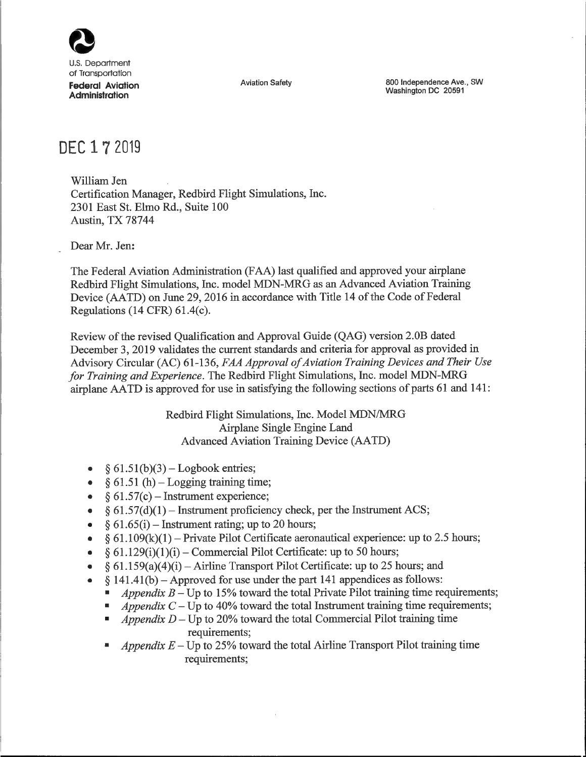

U.S. Department of Transportation **Federal Aviation Administration**

Aviation Safety **800** Independence Ave., SW Washington DC 20591

## DEC 1 7 2019

William Jen Certification Manager, Redbird Flight Simulations, Inc. 2301 East St. Elmo Rd., Suite 100 Austin, TX 78744

Dear Mr. Jen:

The Federal Aviation Administration (FAA) last qualified and approved your airplane Redbird Flight Simulations, Inc. model MDN-MRG as an Advanced Aviation Training Device (AATD) on June 29, 2016 in accordance with Title 14 of the Code of Federal Regulations (14 CFR) 61.4(c).

Review ofthe revised Qualification and Approval Guide (QAG) version 2.OB dated December 3, 2019 validates the current standards and criteria for approval as provided in *Advisory Circular (AC) 6 1-136, FAA Approval ofAviation Training Devices and Their Use* for Training and Experience. The Redbird Flight Simulations, Inc. model MDN-MRG airplane AATD is approved for use in satisfying the following sections of parts 61 and 141:

> Redbird Flight Simulations, Inc. Model MDN/MRG Airplane Single Engine Land Advanced Aviation Training Device (AATD)

- $§ 61.51(b)(3) Logbook entries;$
- $\S$  61.51 (h) Logging training time;
- $§ 61.57(c)$  Instrument experience;
- $\frac{1}{2}$  § 61.57(d)(1) Instrument proficiency check, per the Instrument ACS;
- $§ 61.65(i)$  Instrument rating; up to 20 hours;
- $\bullet$  § 61.109(k)(1) Private Pilot Certificate aeronautical experience: up to 2.5 hours;
- $\bullet$  § 61.129(i)(1)(i) Commercial Pilot Certificate: up to 50 hours;
- $\S$  61.159(a)(4)(i) Airline Transport Pilot Certificate: up to 25 hours; and
- $§$  141.41(b) Approved for use under the part 141 appendices as follows:
	- *Appendix*  $B Up$  to 15% toward the total Private Pilot training time requirements;
	- $\blacksquare$  *Appendix*  $C \text{Up}$  to 40% toward the total Instrument training time requirements;
	- *Appendix D* − Up to 20% toward the total Commercial Pilot training time requirements;
	- *Appendix*  $E Up$  to 25% toward the total Airline Transport Pilot training time requirements;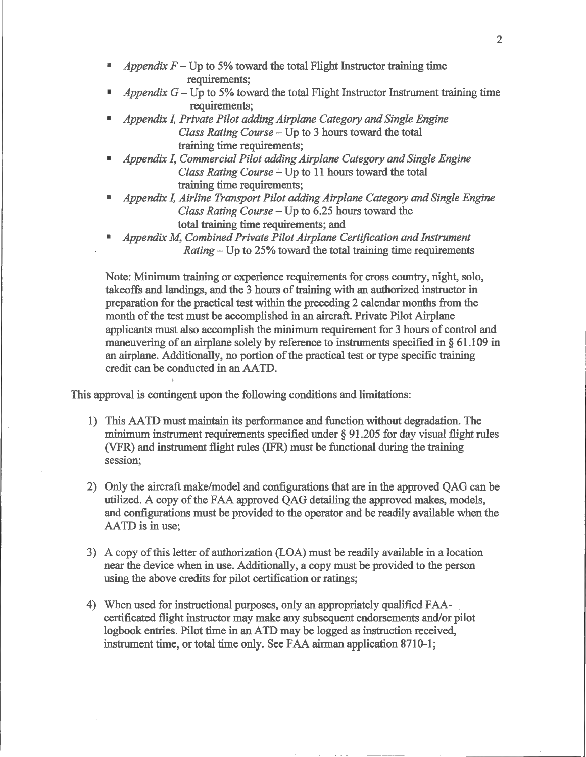- *Appendix*  $F Up$  to 5% toward the total Flight Instructor training time requirements;
- *Appendix*  $G$  Up to 5% toward the total Flight Instructor Instrument training time requirements;
- *¯ Appendix I, Private Pilot addingAirplane Category and Single Engine* Class Rating Course  $-$  Up to 3 hours toward the total training time requirements;
- *¯ Appendix I, Commercial Pilot adding Airplane Category and Single Engine* Class Rating Course - Up to 11 hours toward the total training time requirements;
- *¯ Appendix I,Airline Transport Pilot adding Airplane Category and Single Engine Class Rating Course* -Up to *6.25* hours toward the total training time requirements; and
- *¯ Appendix M, Combined Private Pilot Airplane Certification and Instrument* Rating -Up to *25%* toward the total training time requirements

Note: Minimum training or experience requirements for cross country, night, solo, takeoffs and landings, and the 3 hours of training with an authorized instructor in preparation for the practical test within the preceding 2 calendar months from the month of the test must be accomplished in an aircraft. Private Pilot Airplane applicants must also accomplish the minimum requirement for <sup>3</sup> hours of control and maneuvering of an airplane solely by reference to instruments specified in § 61.109 in an airplane. Additionally, no portion of the practical test or type specific training credit can be conducted in an AATD.

This approval is contingent upon the following conditions and limitations:

- 1) This AATD must maintain its performance and function without degradation. The minimum instrument requirements specified under § 91.205 for day visual flight rules (VFR) and instrument flight rules (IFR) must be functional during the training session;
- 2) Only the aircraft make/model and configurations that are in the approved QAG can be utilized. A copy of the FAA approved QAG detailing the approved makes, models, and configurations must be provided to the operator and be readily available when the AATD is in use;
- 3) A copy of this letter of authorization (LOA) must be readily available in a location near the device when in use. Additionally, a copy must be provided to the person using the above credits for pilot certification or ratings;
- 4) When used for instructional purposes, only an appropriately qualified FAAcertificated flight instructor may make any subsequent endorsements and/or pilot logbook entries. Pilot time in an ATD may be logged as instruction received, instrument time, or total time only. See FAA airman application 8710-1;